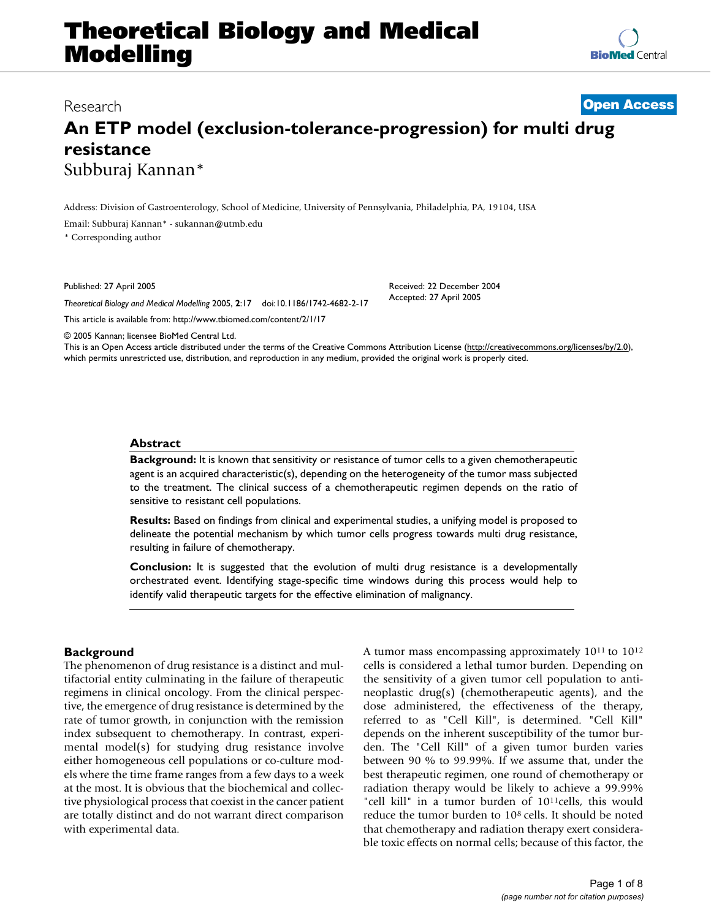# **Theoretical Biology and Medical Modelling**

## Research **[Open Access](http://www.biomedcentral.com/info/about/charter/) An ETP model (exclusion-tolerance-progression) for multi drug resistance** Subburaj Kannan\*

Address: Division of Gastroenterology, School of Medicine, University of Pennsylvania, Philadelphia, PA, 19104, USA

Email: Subburaj Kannan\* - sukannan@utmb.edu

\* Corresponding author

Published: 27 April 2005

*Theoretical Biology and Medical Modelling* 2005, **2**:17 doi:10.1186/1742-4682-2-17

[This article is available from: http://www.tbiomed.com/content/2/1/17](http://www.tbiomed.com/content/2/1/17)

© 2005 Kannan; licensee BioMed Central Ltd.

This is an Open Access article distributed under the terms of the Creative Commons Attribution License [\(http://creativecommons.org/licenses/by/2.0\)](http://creativecommons.org/licenses/by/2.0), which permits unrestricted use, distribution, and reproduction in any medium, provided the original work is properly cited.

#### **Abstract**

**Background:** It is known that sensitivity or resistance of tumor cells to a given chemotherapeutic agent is an acquired characteristic(s), depending on the heterogeneity of the tumor mass subjected to the treatment. The clinical success of a chemotherapeutic regimen depends on the ratio of sensitive to resistant cell populations.

**Results:** Based on findings from clinical and experimental studies, a unifying model is proposed to delineate the potential mechanism by which tumor cells progress towards multi drug resistance, resulting in failure of chemotherapy.

**Conclusion:** It is suggested that the evolution of multi drug resistance is a developmentally orchestrated event. Identifying stage-specific time windows during this process would help to identify valid therapeutic targets for the effective elimination of malignancy.

### **Background**

The phenomenon of drug resistance is a distinct and multifactorial entity culminating in the failure of therapeutic regimens in clinical oncology. From the clinical perspective, the emergence of drug resistance is determined by the rate of tumor growth, in conjunction with the remission index subsequent to chemotherapy. In contrast, experimental model(s) for studying drug resistance involve either homogeneous cell populations or co-culture models where the time frame ranges from a few days to a week at the most. It is obvious that the biochemical and collective physiological process that coexist in the cancer patient are totally distinct and do not warrant direct comparison with experimental data.

A tumor mass encompassing approximately 1011 to 1012 cells is considered a lethal tumor burden. Depending on the sensitivity of a given tumor cell population to antineoplastic drug(s) (chemotherapeutic agents), and the dose administered, the effectiveness of the therapy, referred to as "Cell Kill", is determined. "Cell Kill" depends on the inherent susceptibility of the tumor burden. The "Cell Kill" of a given tumor burden varies between 90 % to 99.99%. If we assume that, under the best therapeutic regimen, one round of chemotherapy or radiation therapy would be likely to achieve a 99.99% "cell kill" in a tumor burden of 10<sup>11</sup>cells, this would reduce the tumor burden to 108 cells. It should be noted that chemotherapy and radiation therapy exert considerable toxic effects on normal cells; because of this factor, the



Received: 22 December 2004 Accepted: 27 April 2005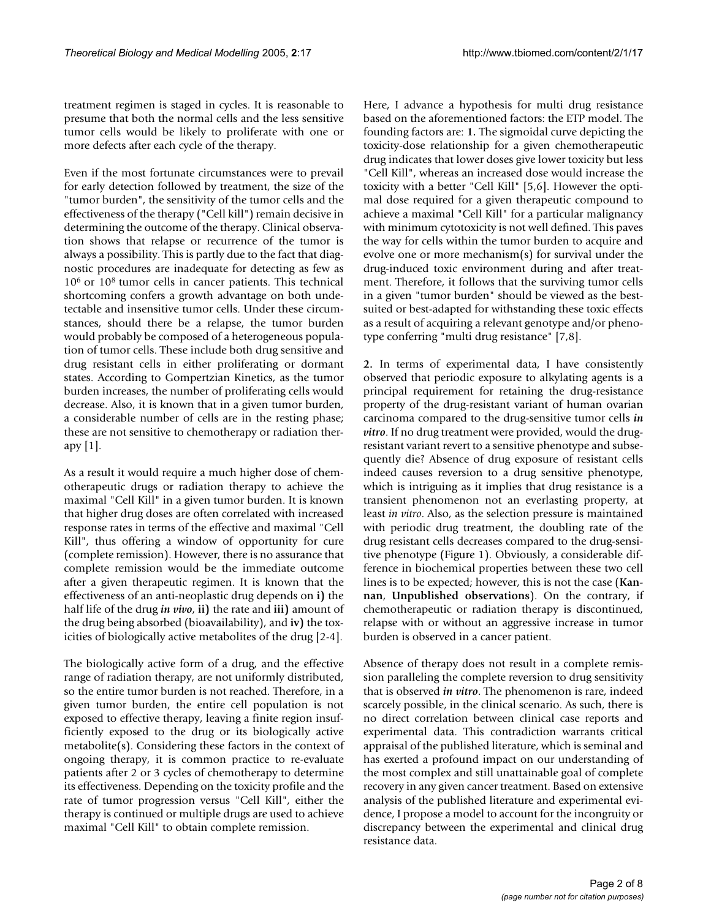treatment regimen is staged in cycles. It is reasonable to presume that both the normal cells and the less sensitive tumor cells would be likely to proliferate with one or more defects after each cycle of the therapy.

Even if the most fortunate circumstances were to prevail for early detection followed by treatment, the size of the "tumor burden", the sensitivity of the tumor cells and the effectiveness of the therapy ("Cell kill") remain decisive in determining the outcome of the therapy. Clinical observation shows that relapse or recurrence of the tumor is always a possibility. This is partly due to the fact that diagnostic procedures are inadequate for detecting as few as 106 or 108 tumor cells in cancer patients. This technical shortcoming confers a growth advantage on both undetectable and insensitive tumor cells. Under these circumstances, should there be a relapse, the tumor burden would probably be composed of a heterogeneous population of tumor cells. These include both drug sensitive and drug resistant cells in either proliferating or dormant states. According to Gompertzian Kinetics, as the tumor burden increases, the number of proliferating cells would decrease. Also, it is known that in a given tumor burden, a considerable number of cells are in the resting phase; these are not sensitive to chemotherapy or radiation therapy [1].

As a result it would require a much higher dose of chemotherapeutic drugs or radiation therapy to achieve the maximal "Cell Kill" in a given tumor burden. It is known that higher drug doses are often correlated with increased response rates in terms of the effective and maximal "Cell Kill", thus offering a window of opportunity for cure (complete remission). However, there is no assurance that complete remission would be the immediate outcome after a given therapeutic regimen. It is known that the effectiveness of an anti-neoplastic drug depends on **i)** the half life of the drug *in vivo*, **ii)** the rate and **iii)** amount of the drug being absorbed (bioavailability), and **iv)** the toxicities of biologically active metabolites of the drug [2-4].

The biologically active form of a drug, and the effective range of radiation therapy, are not uniformly distributed, so the entire tumor burden is not reached. Therefore, in a given tumor burden, the entire cell population is not exposed to effective therapy, leaving a finite region insufficiently exposed to the drug or its biologically active metabolite(s). Considering these factors in the context of ongoing therapy, it is common practice to re-evaluate patients after 2 or 3 cycles of chemotherapy to determine its effectiveness. Depending on the toxicity profile and the rate of tumor progression versus "Cell Kill", either the therapy is continued or multiple drugs are used to achieve maximal "Cell Kill" to obtain complete remission.

Here, I advance a hypothesis for multi drug resistance based on the aforementioned factors: the ETP model. The founding factors are: **1.** The sigmoidal curve depicting the toxicity-dose relationship for a given chemotherapeutic drug indicates that lower doses give lower toxicity but less "Cell Kill", whereas an increased dose would increase the toxicity with a better "Cell Kill" [5,6]. However the optimal dose required for a given therapeutic compound to achieve a maximal "Cell Kill" for a particular malignancy with minimum cytotoxicity is not well defined. This paves the way for cells within the tumor burden to acquire and evolve one or more mechanism(s) for survival under the drug-induced toxic environment during and after treatment. Therefore, it follows that the surviving tumor cells in a given "tumor burden" should be viewed as the bestsuited or best-adapted for withstanding these toxic effects as a result of acquiring a relevant genotype and/or phenotype conferring "multi drug resistance" [7,8].

**2.** In terms of experimental data, I have consistently observed that periodic exposure to alkylating agents is a principal requirement for retaining the drug-resistance property of the drug-resistant variant of human ovarian carcinoma compared to the drug-sensitive tumor cells *in vitro*. If no drug treatment were provided, would the drugresistant variant revert to a sensitive phenotype and subsequently die? Absence of drug exposure of resistant cells indeed causes reversion to a drug sensitive phenotype, which is intriguing as it implies that drug resistance is a transient phenomenon not an everlasting property, at least *in vitro*. Also, as the selection pressure is maintained with periodic drug treatment, the doubling rate of the drug resistant cells decreases compared to the drug-sensitive phenotype (Figure [1](#page-2-0)). Obviously, a considerable difference in biochemical properties between these two cell lines is to be expected; however, this is not the case (**Kannan**, **Unpublished observations**). On the contrary, if chemotherapeutic or radiation therapy is discontinued, relapse with or without an aggressive increase in tumor burden is observed in a cancer patient.

Absence of therapy does not result in a complete remission paralleling the complete reversion to drug sensitivity that is observed *in vitro*. The phenomenon is rare, indeed scarcely possible, in the clinical scenario. As such, there is no direct correlation between clinical case reports and experimental data. This contradiction warrants critical appraisal of the published literature, which is seminal and has exerted a profound impact on our understanding of the most complex and still unattainable goal of complete recovery in any given cancer treatment. Based on extensive analysis of the published literature and experimental evidence, I propose a model to account for the incongruity or discrepancy between the experimental and clinical drug resistance data.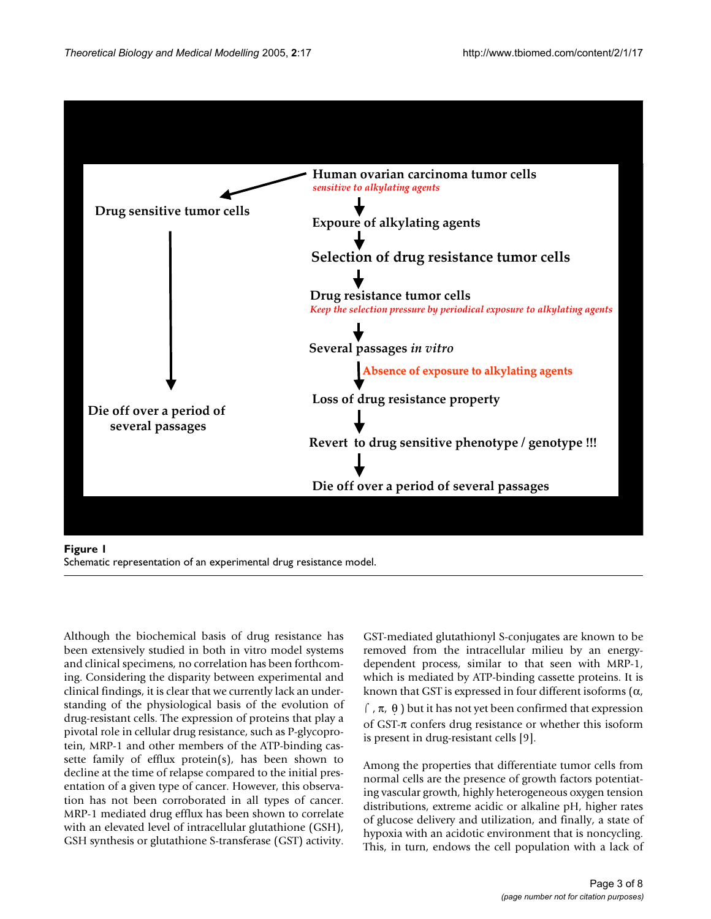<span id="page-2-0"></span>

**Figure 1** Schematic representation of an experimental drug resistance model.

Although the biochemical basis of drug resistance has been extensively studied in both in vitro model systems and clinical specimens, no correlation has been forthcoming. Considering the disparity between experimental and clinical findings, it is clear that we currently lack an understanding of the physiological basis of the evolution of drug-resistant cells. The expression of proteins that play a pivotal role in cellular drug resistance, such as P-glycoprotein, MRP-1 and other members of the ATP-binding cassette family of efflux protein(s), has been shown to decline at the time of relapse compared to the initial presentation of a given type of cancer. However, this observation has not been corroborated in all types of cancer. MRP-1 mediated drug efflux has been shown to correlate with an elevated level of intracellular glutathione (GSH), GSH synthesis or glutathione S-transferase (GST) activity. GST-mediated glutathionyl S-conjugates are known to be removed from the intracellular milieu by an energydependent process, similar to that seen with MRP-1, which is mediated by ATP-binding cassette proteins. It is known that GST is expressed in four different isoforms ( $\alpha$ ,

 $(\tau, \pi, \theta)$  but it has not yet been confirmed that expression<br>of CST  $\pi$  conform dute resistance or whather this isoform of GST- $\pi$  confers drug resistance or whether this isoform is present in drug-resistant cells [9].

Among the properties that differentiate tumor cells from normal cells are the presence of growth factors potentiating vascular growth, highly heterogeneous oxygen tension distributions, extreme acidic or alkaline pH, higher rates of glucose delivery and utilization, and finally, a state of hypoxia with an acidotic environment that is noncycling. This, in turn, endows the cell population with a lack of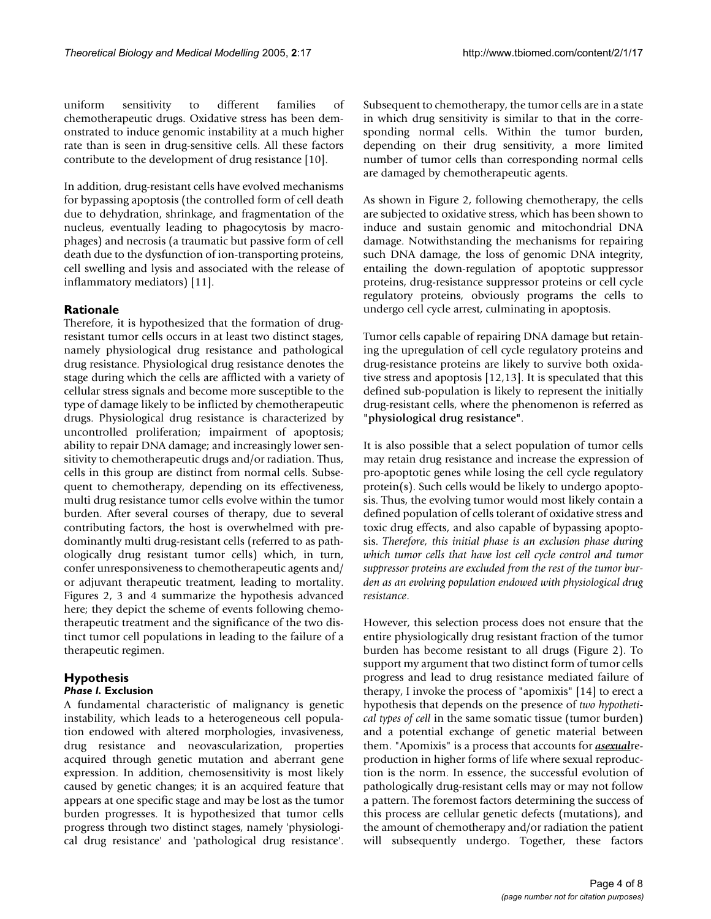uniform sensitivity to different families of chemotherapeutic drugs. Oxidative stress has been demonstrated to induce genomic instability at a much higher rate than is seen in drug-sensitive cells. All these factors contribute to the development of drug resistance [10].

In addition, drug-resistant cells have evolved mechanisms for bypassing apoptosis (the controlled form of cell death due to dehydration, shrinkage, and fragmentation of the nucleus, eventually leading to phagocytosis by macrophages) and necrosis (a traumatic but passive form of cell death due to the dysfunction of ion-transporting proteins, cell swelling and lysis and associated with the release of inflammatory mediators) [11].

#### **Rationale**

Therefore, it is hypothesized that the formation of drugresistant tumor cells occurs in at least two distinct stages, namely physiological drug resistance and pathological drug resistance. Physiological drug resistance denotes the stage during which the cells are afflicted with a variety of cellular stress signals and become more susceptible to the type of damage likely to be inflicted by chemotherapeutic drugs. Physiological drug resistance is characterized by uncontrolled proliferation; impairment of apoptosis; ability to repair DNA damage; and increasingly lower sensitivity to chemotherapeutic drugs and/or radiation. Thus, cells in this group are distinct from normal cells. Subsequent to chemotherapy, depending on its effectiveness, multi drug resistance tumor cells evolve within the tumor burden. After several courses of therapy, due to several contributing factors, the host is overwhelmed with predominantly multi drug-resistant cells (referred to as pathologically drug resistant tumor cells) which, in turn, confer unresponsiveness to chemotherapeutic agents and/ or adjuvant therapeutic treatment, leading to mortality. Figures [2](#page-4-0), [3](#page-5-0) and [4](#page-6-0) summarize the hypothesis advanced here; they depict the scheme of events following chemotherapeutic treatment and the significance of the two distinct tumor cell populations in leading to the failure of a therapeutic regimen.

### **Hypothesis**

#### *Phase I.* **Exclusion**

A fundamental characteristic of malignancy is genetic instability, which leads to a heterogeneous cell population endowed with altered morphologies, invasiveness, drug resistance and neovascularization, properties acquired through genetic mutation and aberrant gene expression. In addition, chemosensitivity is most likely caused by genetic changes; it is an acquired feature that appears at one specific stage and may be lost as the tumor burden progresses. It is hypothesized that tumor cells progress through two distinct stages, namely 'physiological drug resistance' and 'pathological drug resistance'.

Subsequent to chemotherapy, the tumor cells are in a state in which drug sensitivity is similar to that in the corresponding normal cells. Within the tumor burden, depending on their drug sensitivity, a more limited number of tumor cells than corresponding normal cells are damaged by chemotherapeutic agents.

As shown in Figure [2,](#page-4-0) following chemotherapy, the cells are subjected to oxidative stress, which has been shown to induce and sustain genomic and mitochondrial DNA damage. Notwithstanding the mechanisms for repairing such DNA damage, the loss of genomic DNA integrity, entailing the down-regulation of apoptotic suppressor proteins, drug-resistance suppressor proteins or cell cycle regulatory proteins, obviously programs the cells to undergo cell cycle arrest, culminating in apoptosis.

Tumor cells capable of repairing DNA damage but retaining the upregulation of cell cycle regulatory proteins and drug-resistance proteins are likely to survive both oxidative stress and apoptosis [12,13]. It is speculated that this defined sub-population is likely to represent the initially drug-resistant cells, where the phenomenon is referred as **"physiological drug resistance"**.

It is also possible that a select population of tumor cells may retain drug resistance and increase the expression of pro-apoptotic genes while losing the cell cycle regulatory protein(s). Such cells would be likely to undergo apoptosis. Thus, the evolving tumor would most likely contain a defined population of cells tolerant of oxidative stress and toxic drug effects, and also capable of bypassing apoptosis. *Therefore, this initial phase is an exclusion phase during which tumor cells that have lost cell cycle control and tumor suppressor proteins are excluded from the rest of the tumor burden as an evolving population endowed with physiological drug resistance*.

However, this selection process does not ensure that the entire physiologically drug resistant fraction of the tumor burden has become resistant to all drugs (Figure [2](#page-4-0)). To support my argument that two distinct form of tumor cells progress and lead to drug resistance mediated failure of therapy, I invoke the process of "apomixis" [14] to erect a hypothesis that depends on the presence of *two hypothetical types of cell* in the same somatic tissue (tumor burden) and a potential exchange of genetic material between them. "Apomixis" is a process that accounts for *asexual*reproduction in higher forms of life where sexual reproduction is the norm. In essence, the successful evolution of pathologically drug-resistant cells may or may not follow a pattern. The foremost factors determining the success of this process are cellular genetic defects (mutations), and the amount of chemotherapy and/or radiation the patient will subsequently undergo. Together, these factors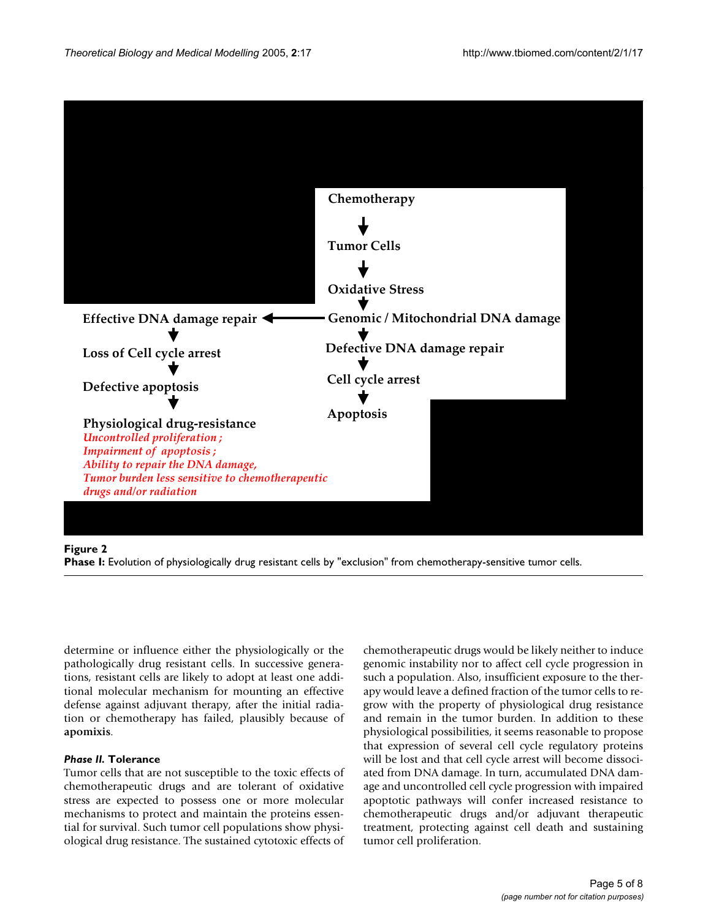<span id="page-4-0"></span>

#### **Phase I: Figure 2**Evolution of physiologically drug resistant cells by "exclusion" from chemotherapy-sensitive tumor cells

**Phase I:** Evolution of physiologically drug resistant cells by "exclusion" from chemotherapy-sensitive tumor cells.

determine or influence either the physiologically or the pathologically drug resistant cells. In successive generations, resistant cells are likely to adopt at least one additional molecular mechanism for mounting an effective defense against adjuvant therapy, after the initial radiation or chemotherapy has failed, plausibly because of **apomixis**.

#### *Phase II.* **Tolerance**

Tumor cells that are not susceptible to the toxic effects of chemotherapeutic drugs and are tolerant of oxidative stress are expected to possess one or more molecular mechanisms to protect and maintain the proteins essential for survival. Such tumor cell populations show physiological drug resistance. The sustained cytotoxic effects of

chemotherapeutic drugs would be likely neither to induce genomic instability nor to affect cell cycle progression in such a population. Also, insufficient exposure to the therapy would leave a defined fraction of the tumor cells to regrow with the property of physiological drug resistance and remain in the tumor burden. In addition to these physiological possibilities, it seems reasonable to propose that expression of several cell cycle regulatory proteins will be lost and that cell cycle arrest will become dissociated from DNA damage. In turn, accumulated DNA damage and uncontrolled cell cycle progression with impaired apoptotic pathways will confer increased resistance to chemotherapeutic drugs and/or adjuvant therapeutic treatment, protecting against cell death and sustaining tumor cell proliferation.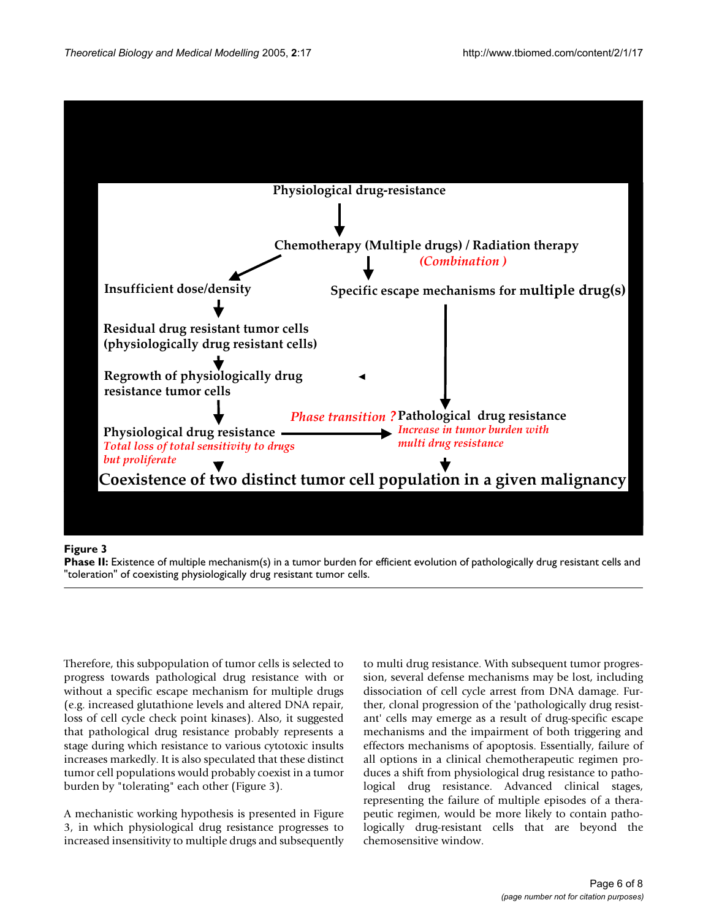<span id="page-5-0"></span>

#### ${\sf Figure~3}$  Physiologically physiologically drug resistant mechanism (s) in a tumor burden for efficient evolution of pathologically drug resistant cells ficient evolution of pathologically drug resistant cells and cells and

**Phase II:** Existence of multiple mechanism(s) in a tumor burden for efficient evolution of pathologically drug resistant cells and "toleration" of coexisting physiologically drug resistant tumor cells.

Therefore, this subpopulation of tumor cells is selected to progress towards pathological drug resistance with or without a specific escape mechanism for multiple drugs (e.g. increased glutathione levels and altered DNA repair, loss of cell cycle check point kinases). Also, it suggested that pathological drug resistance probably represents a stage during which resistance to various cytotoxic insults increases markedly. It is also speculated that these distinct tumor cell populations would probably coexist in a tumor burden by "tolerating" each other (Figure [3](#page-5-0)).

A mechanistic working hypothesis is presented in Figure [3,](#page-5-0) in which physiological drug resistance progresses to increased insensitivity to multiple drugs and subsequently to multi drug resistance. With subsequent tumor progression, several defense mechanisms may be lost, including dissociation of cell cycle arrest from DNA damage. Further, clonal progression of the 'pathologically drug resistant' cells may emerge as a result of drug-specific escape mechanisms and the impairment of both triggering and effectors mechanisms of apoptosis. Essentially, failure of all options in a clinical chemotherapeutic regimen produces a shift from physiological drug resistance to pathological drug resistance. Advanced clinical stages, representing the failure of multiple episodes of a therapeutic regimen, would be more likely to contain pathologically drug-resistant cells that are beyond the chemosensitive window.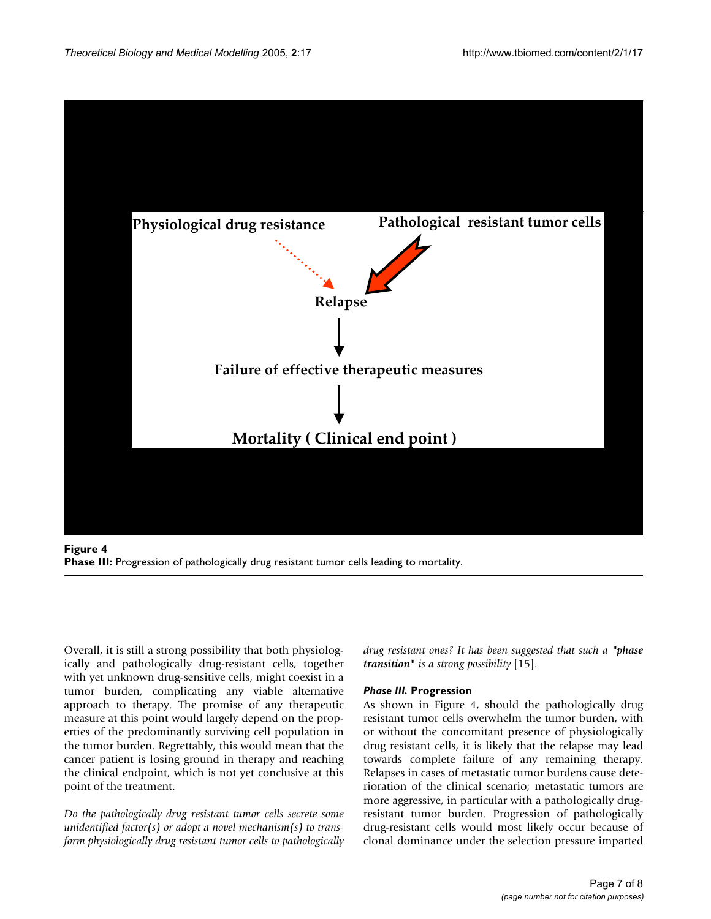<span id="page-6-0"></span>

**Figure 4 Phase III:** Progression of pathologically drug resistant tumor cells leading to mortality.

Overall, it is still a strong possibility that both physiologically and pathologically drug-resistant cells, together with yet unknown drug-sensitive cells, might coexist in a tumor burden, complicating any viable alternative approach to therapy. The promise of any therapeutic measure at this point would largely depend on the properties of the predominantly surviving cell population in the tumor burden. Regrettably, this would mean that the cancer patient is losing ground in therapy and reaching the clinical endpoint, which is not yet conclusive at this point of the treatment.

*Do the pathologically drug resistant tumor cells secrete some unidentified factor(s) or adopt a novel mechanism(s) to transform physiologically drug resistant tumor cells to pathologically* *drug resistant ones? It has been suggested that such a "phase transition" is a strong possibility* [15].

#### *Phase III.* **Progression**

As shown in Figure [4](#page-6-0), should the pathologically drug resistant tumor cells overwhelm the tumor burden, with or without the concomitant presence of physiologically drug resistant cells, it is likely that the relapse may lead towards complete failure of any remaining therapy. Relapses in cases of metastatic tumor burdens cause deterioration of the clinical scenario; metastatic tumors are more aggressive, in particular with a pathologically drugresistant tumor burden. Progression of pathologically drug-resistant cells would most likely occur because of clonal dominance under the selection pressure imparted